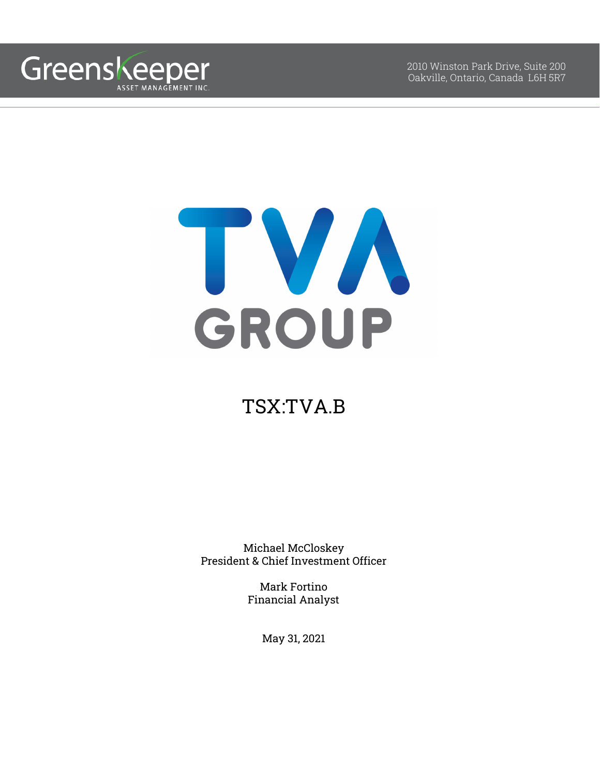

2010 Winston Park Drive, Suite 200 Oakville, Ontario, Canada L6H 5R7



# TSX:TVA.B

Michael McCloskey President & Chief Investment Officer

> Mark Fortino Financial Analyst

> > May 31, 2021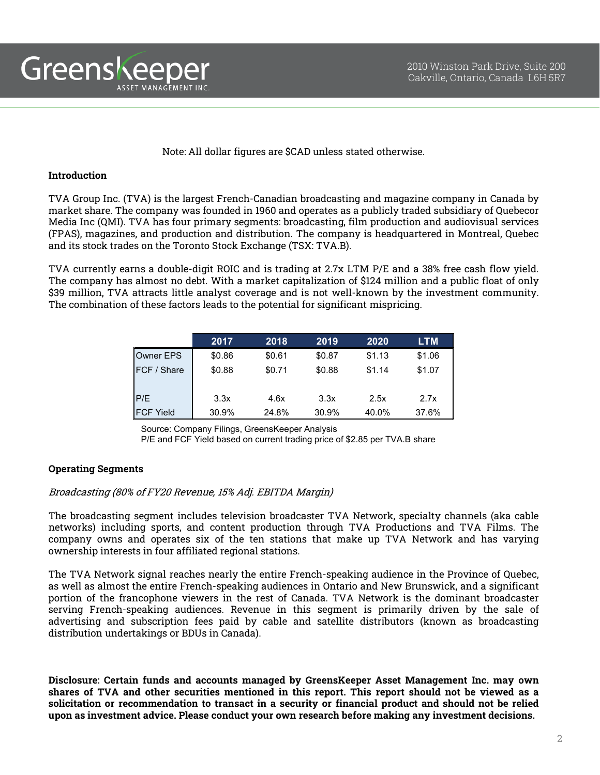

## Note: All dollar figures are \$CAD unless stated otherwise.

## **Introduction**

TVA Group Inc. (TVA) is the largest French-Canadian broadcasting and magazine company in Canada by market share. The company was founded in 1960 and operates as a publicly traded subsidiary of Quebecor Media Inc (QMI). TVA has four primary segments: broadcasting, film production and audiovisual services (FPAS), magazines, and production and distribution. The company is headquartered in Montreal, Quebec and its stock trades on the Toronto Stock Exchange (TSX: TVA.B).

TVA currently earns a double-digit ROIC and is trading at 2.7x LTM P/E and a 38% free cash flow yield. The company has almost no debt. With a market capitalization of \$124 million and a public float of only \$39 million, TVA attracts little analyst coverage and is not well-known by the investment community. The combination of these factors leads to the potential for significant mispricing.

|                     | 2017   | 2018   | 2019   | 2020   | <b>LTM</b> |
|---------------------|--------|--------|--------|--------|------------|
| Owner EPS           | \$0.86 | \$0.61 | \$0.87 | \$1.13 | \$1.06     |
| <b>IFCF / Share</b> | \$0.88 | \$0.71 | \$0.88 | \$1.14 | \$1.07     |
|                     |        |        |        |        |            |
| P/E                 | 3.3x   | 4.6x   | 3.3x   | 2.5x   | 2.7x       |
| <b>IFCF Yield</b>   | 30.9%  | 24.8%  | 30.9%  | 40.0%  | 37.6%      |

Source: Company Filings, GreensKeeper Analysis P/E and FCF Yield based on current trading price of \$2.85 per TVA.B share

## **Operating Segments**

## Broadcasting (80% of FY20 Revenue, 15% Adj. EBITDA Margin)

The broadcasting segment includes television broadcaster TVA Network, specialty channels (aka cable networks) including sports, and content production through TVA Productions and TVA Films. The company owns and operates six of the ten stations that make up TVA Network and has varying ownership interests in four affiliated regional stations.

The TVA Network signal reaches nearly the entire French-speaking audience in the Province of Quebec, as well as almost the entire French-speaking audiences in Ontario and New Brunswick, and a significant portion of the francophone viewers in the rest of Canada. TVA Network is the dominant broadcaster serving French-speaking audiences. Revenue in this segment is primarily driven by the sale of advertising and subscription fees paid by cable and satellite distributors (known as broadcasting distribution undertakings or BDUs in Canada).

**Disclosure: Certain funds and accounts managed by GreensKeeper Asset Management Inc. may own shares of TVA and other securities mentioned in this report. This report should not be viewed as a solicitation or recommendation to transact in a security or financial product and should not be relied upon as investment advice. Please conduct your own research before making any investment decisions.**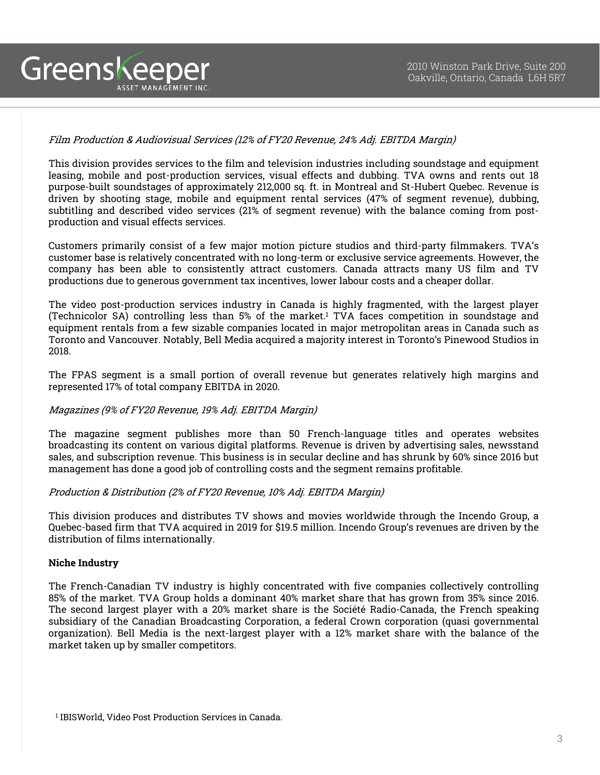# Film Production & Audiovisual Services (12% of FY20 Revenue, 24% Adj. EBITDA Margin)

This division provides services to the film and television industries including soundstage and equipment leasing, mobile and post-production services, visual effects and dubbing. TVA owns and rents out 18 purpose-built soundstages of approximately 212,000 sq. ft. in Montreal and St-Hubert Quebec. Revenue is driven by shooting stage, mobile and equipment rental services (47% of segment revenue), dubbing, subtitling and described video services (21% of segment revenue) with the balance coming from postproduction and visual effects services.

Customers primarily consist of a few major motion picture studios and third-party filmmakers. TVA's customer base is relatively concentrated with no long-term or exclusive service agreements. However, the company has been able to consistently attract customers. Canada attracts many US film and TV productions due to generous government tax incentives, lower labour costs and a cheaper dollar.

The video post-production services industry in Canada is highly fragmented, with the largest player (Technicolor SA) controlling less than 5% of the market. <sup>1</sup> TVA faces competition in soundstage and equipment rentals from a few sizable companies located in major metropolitan areas in Canada such as Toronto and Vancouver. Notably, Bell Media acquired a majority interest in Toronto's Pinewood Studios in 2018.

The FPAS segment is a small portion of overall revenue but generates relatively high margins and represented 17% of total company EBITDA in 2020.

## Magazines (9% of FY20 Revenue, 19% Adj. EBITDA Margin)

The magazine segment publishes more than 50 French-language titles and operates websites broadcasting its content on various digital platforms. Revenue is driven by advertising sales, newsstand sales, and subscription revenue. This business is in secular decline and has shrunk by 60% since 2016 but management has done a good job of controlling costs and the segment remains profitable.

## Production & Distribution (2% of FY20 Revenue, 10% Adj. EBITDA Margin)

This division produces and distributes TV shows and movies worldwide through the Incendo Group, a Quebec-based firm that TVA acquired in 2019 for \$19.5 million. Incendo Group's revenues are driven by the distribution of films internationally.

#### **Niche Industry**

Greenskeeper

ASSET MANAGEMENT INC.

The French-Canadian TV industry is highly concentrated with five companies collectively controlling 85% of the market. TVA Group holds a dominant 40% market share that has grown from 35% since 2016. The second largest player with a 20% market share is the Société Radio-Canada, the French speaking subsidiary of the Canadian Broadcasting Corporation, a federal Crown corporation (quasi governmental organization). Bell Media is the next-largest player with a 12% market share with the balance of the market taken up by smaller competitors.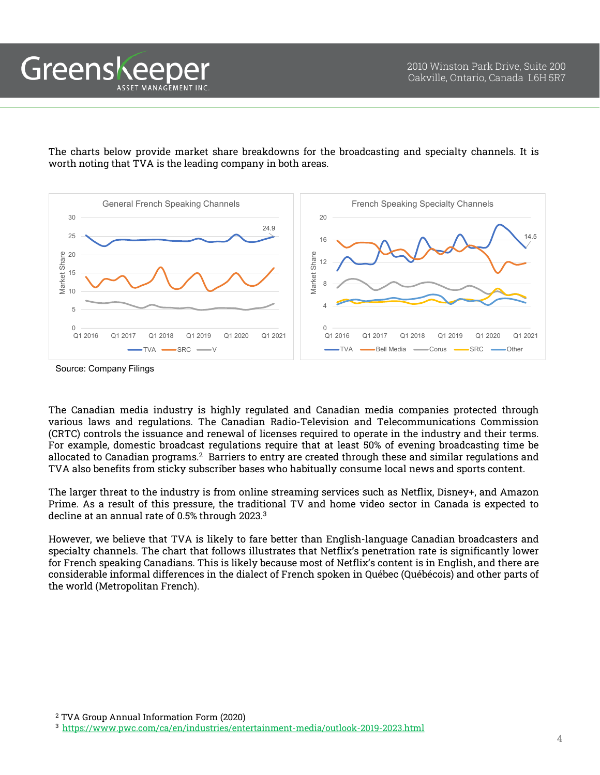Greenskeep ASSET MANAGEMENT INC

> The charts below provide market share breakdowns for the broadcasting and specialty channels. It is worth noting that TVA is the leading company in both areas.



Source: Company Filings

The Canadian media industry is highly regulated and Canadian media companies protected through various laws and regulations. The Canadian Radio-Television and Telecommunications Commission (CRTC) controls the issuance and renewal of licenses required to operate in the industry and their terms. For example, domestic broadcast regulations require that at least 50% of evening broadcasting time be allocated to Canadian programs. <sup>2</sup> Barriers to entry are created through these and similar regulations and TVA also benefits from sticky subscriber bases who habitually consume local news and sports content.

The larger threat to the industry is from online streaming services such as Netflix, Disney+, and Amazon Prime. As a result of this pressure, the traditional TV and home video sector in Canada is expected to decline at an annual rate of 0.5% through 2023. 3

However, we believe that TVA is likely to fare better than English-language Canadian broadcasters and specialty channels. The chart that follows illustrates that Netflix's penetration rate is significantly lower for French speaking Canadians. This is likely because most of Netflix's content is in English, and there are considerable informal differences in the dialect of French spoken in Québec (Québécois) and other parts of the world (Metropolitan French).

<sup>2</sup> TVA Group Annual Information Form (2020) 3 <https://www.pwc.com/ca/en/industries/entertainment-media/outlook-2019-2023.html>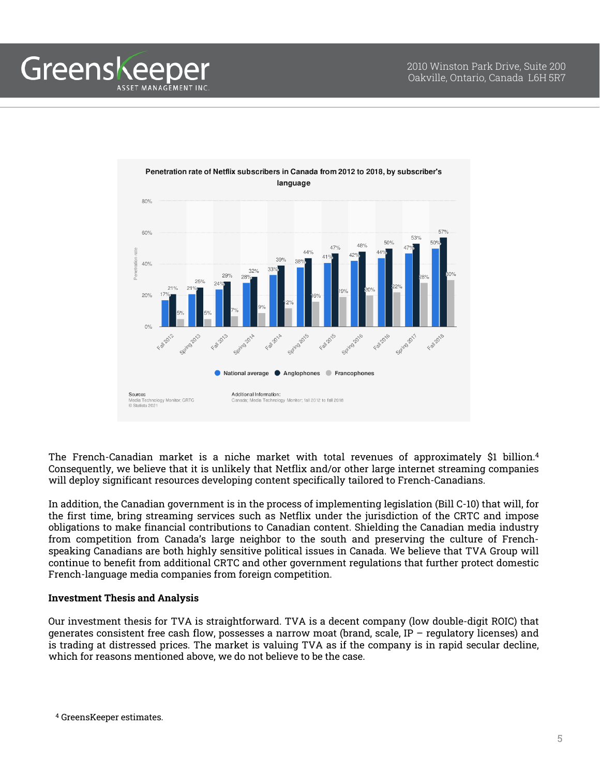**Greenskeeper** ASSET MANAGEMENT INC



The French-Canadian market is a niche market with total revenues of approximately \$1 billion. 4 Consequently, we believe that it is unlikely that Netflix and/or other large internet streaming companies will deploy significant resources developing content specifically tailored to French-Canadians.

In addition, the Canadian government is in the process of implementing legislation (Bill C-10) that will, for the first time, bring streaming services such as Netflix under the jurisdiction of the CRTC and impose obligations to make financial contributions to Canadian content. Shielding the Canadian media industry from competition from Canada's large neighbor to the south and preserving the culture of Frenchspeaking Canadians are both highly sensitive political issues in Canada. We believe that TVA Group will continue to benefit from additional CRTC and other government regulations that further protect domestic French-language media companies from foreign competition.

# **Investment Thesis and Analysis**

Our investment thesis for TVA is straightforward. TVA is a decent company (low double-digit ROIC) that generates consistent free cash flow, possesses a narrow moat (brand, scale, IP – regulatory licenses) and is trading at distressed prices. The market is valuing TVA as if the company is in rapid secular decline, which for reasons mentioned above, we do not believe to be the case.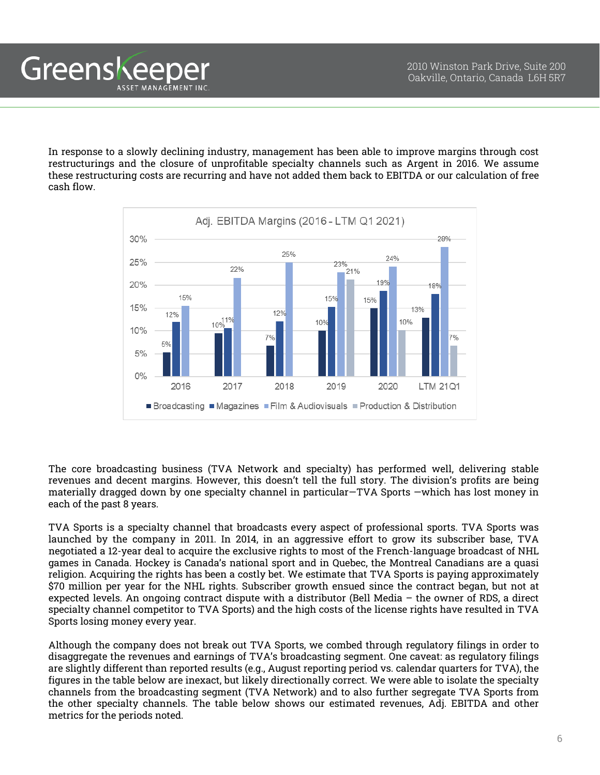In response to a slowly declining industry, management has been able to improve margins through cost restructurings and the closure of unprofitable specialty channels such as Argent in 2016. We assume these restructuring costs are recurring and have not added them back to EBITDA or our calculation of free cash flow.

Greenskeeper

ASSET MANAGEMENT INC



The core broadcasting business (TVA Network and specialty) has performed well, delivering stable revenues and decent margins. However, this doesn't tell the full story. The division's profits are being materially dragged down by one specialty channel in particular—TVA Sports —which has lost money in each of the past 8 years.

TVA Sports is a specialty channel that broadcasts every aspect of professional sports. TVA Sports was launched by the company in 2011. In 2014, in an aggressive effort to grow its subscriber base, TVA negotiated a 12-year deal to acquire the exclusive rights to most of the French-language broadcast of NHL games in Canada. Hockey is Canada's national sport and in Quebec, the Montreal Canadians are a quasi religion. Acquiring the rights has been a costly bet. We estimate that TVA Sports is paying approximately \$70 million per year for the NHL rights. Subscriber growth ensued since the contract began, but not at expected levels. An ongoing contract dispute with a distributor (Bell Media – the owner of RDS, a direct specialty channel competitor to TVA Sports) and the high costs of the license rights have resulted in TVA Sports losing money every year.

Although the company does not break out TVA Sports, we combed through regulatory filings in order to disaggregate the revenues and earnings of TVA's broadcasting segment. One caveat: as regulatory filings are slightly different than reported results (e.g., August reporting period vs. calendar quarters for TVA), the figures in the table below are inexact, but likely directionally correct. We were able to isolate the specialty channels from the broadcasting segment (TVA Network) and to also further segregate TVA Sports from the other specialty channels. The table below shows our estimated revenues, Adj. EBITDA and other metrics for the periods noted.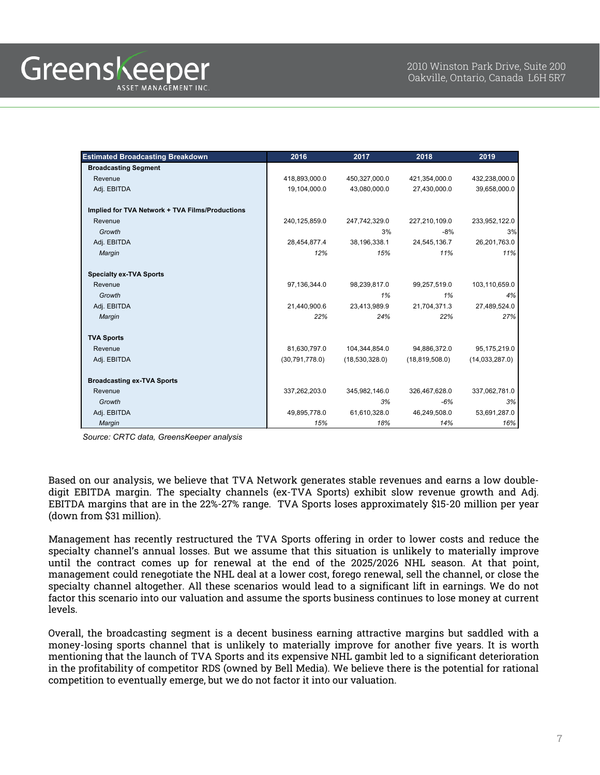| <b>Estimated Broadcasting Breakdown</b>         | 2016           | 2017           | 2018             | 2019           |
|-------------------------------------------------|----------------|----------------|------------------|----------------|
| <b>Broadcasting Segment</b>                     |                |                |                  |                |
| Revenue                                         | 418,893,000.0  | 450,327,000.0  | 421,354,000.0    | 432,238,000.0  |
| Adj. EBITDA                                     | 19,104,000.0   | 43,080,000.0   | 27,430,000.0     | 39,658,000.0   |
| Implied for TVA Network + TVA Films/Productions |                |                |                  |                |
| Revenue                                         | 240,125,859.0  | 247,742,329.0  | 227,210,109.0    | 233,952,122.0  |
| Growth                                          |                | 3%             | $-8%$            | 3%             |
| Adj. EBITDA                                     | 28,454,877.4   | 38,196,338.1   | 24,545,136.7     | 26,201,763.0   |
| Margin                                          | 12%            | 15%            | 11%              | 11%            |
| <b>Specialty ex-TVA Sports</b>                  |                |                |                  |                |
| Revenue                                         | 97,136,344.0   | 98,239,817.0   | 99,257,519.0     | 103,110,659.0  |
| Growth                                          |                | 1%             | 1%               | 4%             |
| Adj. EBITDA                                     | 21,440,900.6   | 23,413,989.9   | 21,704,371.3     | 27,489,524.0   |
| Margin                                          | 22%            | 24%            | 22%              | 27%            |
| <b>TVA Sports</b>                               |                |                |                  |                |
| Revenue                                         | 81,630,797.0   | 104,344,854.0  | 94,886,372.0     | 95,175,219.0   |
| Adj. EBITDA                                     | (30,791,778.0) | (18,530,328.0) | (18, 819, 508.0) | (14,033,287.0) |
| <b>Broadcasting ex-TVA Sports</b>               |                |                |                  |                |
| Revenue                                         | 337,262,203.0  | 345,982,146.0  | 326,467,628.0    | 337,062,781.0  |
| Growth                                          |                | 3%             | $-6%$            | 3%             |
| Adj. EBITDA                                     | 49,895,778.0   | 61,610,328.0   | 46,249,508.0     | 53,691,287.0   |
| Margin                                          | 15%            | 18%            | 14%              | 16%            |

*Source: CRTC data, GreensKeeper analysis*

Based on our analysis, we believe that TVA Network generates stable revenues and earns a low doubledigit EBITDA margin. The specialty channels (ex-TVA Sports) exhibit slow revenue growth and Adj. EBITDA margins that are in the 22%-27% range. TVA Sports loses approximately \$15-20 million per year (down from \$31 million).

Management has recently restructured the TVA Sports offering in order to lower costs and reduce the specialty channel's annual losses. But we assume that this situation is unlikely to materially improve until the contract comes up for renewal at the end of the 2025/2026 NHL season. At that point, management could renegotiate the NHL deal at a lower cost, forego renewal, sell the channel, or close the specialty channel altogether. All these scenarios would lead to a significant lift in earnings. We do not factor this scenario into our valuation and assume the sports business continues to lose money at current levels.

Overall, the broadcasting segment is a decent business earning attractive margins but saddled with a money-losing sports channel that is unlikely to materially improve for another five years. It is worth mentioning that the launch of TVA Sports and its expensive NHL gambit led to a significant deterioration in the profitability of competitor RDS (owned by Bell Media). We believe there is the potential for rational competition to eventually emerge, but we do not factor it into our valuation.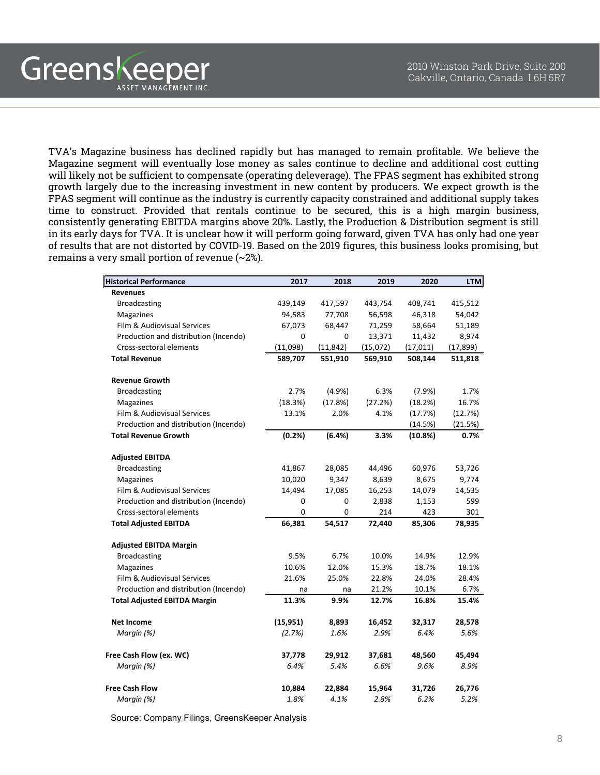TVA's Magazine business has declined rapidly but has managed to remain profitable. We believe the Magazine segment will eventually lose money as sales continue to decline and additional cost cutting will likely not be sufficient to compensate (operating deleverage). The FPAS segment has exhibited strong growth largely due to the increasing investment in new content by producers. We expect growth is the FPAS segment will continue as the industry is currently capacity constrained and additional supply takes time to construct. Provided that rentals continue to be secured, this is a high margin business, consistently generating EBITDA margins above 20%. Lastly, the Production & Distribution segment is still in its early days for TVA. It is unclear how it will perform going forward, given TVA has only had one year of results that are not distorted by COVID-19. Based on the 2019 figures, this business looks promising, but remains a very small portion of revenue (~2%).

Greenskeeper

ASSET MANAGEMENT INC.

| <b>Historical Performance</b>         | 2017      | 2018      | 2019     | 2020      | <b>LTM</b> |
|---------------------------------------|-----------|-----------|----------|-----------|------------|
| <b>Revenues</b>                       |           |           |          |           |            |
| <b>Broadcasting</b>                   | 439,149   | 417,597   | 443,754  | 408,741   | 415,512    |
| Magazines                             | 94,583    | 77,708    | 56,598   | 46,318    | 54,042     |
| Film & Audiovisual Services           | 67,073    | 68,447    | 71,259   | 58,664    | 51,189     |
| Production and distribution (Incendo) | 0         | $\Omega$  | 13,371   | 11,432    | 8,974      |
| Cross-sectoral elements               | (11,098)  | (11, 842) | (15,072) | (17, 011) | (17, 899)  |
| <b>Total Revenue</b>                  | 589,707   | 551,910   | 569,910  | 508,144   | 511,818    |
| <b>Revenue Growth</b>                 |           |           |          |           |            |
| <b>Broadcasting</b>                   | 2.7%      | (4.9%     | 6.3%     | (7.9%     | 1.7%       |
| Magazines                             | (18.3%)   | (17.8%)   | (27.2%)  | (18.2%)   | 16.7%      |
| Film & Audiovisual Services           | 13.1%     | 2.0%      | 4.1%     | (17.7%)   | (12.7%)    |
| Production and distribution (Incendo) |           |           |          | (14.5%)   | (21.5%)    |
| <b>Total Revenue Growth</b>           | (0.2%)    | (6.4%)    | 3.3%     | (10.8%)   | 0.7%       |
| <b>Adjusted EBITDA</b>                |           |           |          |           |            |
| <b>Broadcasting</b>                   | 41,867    | 28,085    | 44,496   | 60,976    | 53,726     |
| Magazines                             | 10,020    | 9,347     | 8,639    | 8,675     | 9,774      |
| Film & Audiovisual Services           | 14,494    | 17,085    | 16,253   | 14,079    | 14,535     |
| Production and distribution (Incendo) | 0         | 0         | 2,838    | 1,153     | 599        |
| Cross-sectoral elements               | 0         | 0         | 214      | 423       | 301        |
| <b>Total Adjusted EBITDA</b>          | 66,381    | 54,517    | 72,440   | 85,306    | 78,935     |
| <b>Adjusted EBITDA Margin</b>         |           |           |          |           |            |
| <b>Broadcasting</b>                   | 9.5%      | 6.7%      | 10.0%    | 14.9%     | 12.9%      |
| Magazines                             | 10.6%     | 12.0%     | 15.3%    | 18.7%     | 18.1%      |
| Film & Audiovisual Services           | 21.6%     | 25.0%     | 22.8%    | 24.0%     | 28.4%      |
| Production and distribution (Incendo) | na        | na        | 21.2%    | 10.1%     | 6.7%       |
| <b>Total Adjusted EBITDA Margin</b>   | 11.3%     | 9.9%      | 12.7%    | 16.8%     | 15.4%      |
| <b>Net Income</b>                     | (15, 951) | 8,893     | 16,452   | 32,317    | 28,578     |
| Margin (%)                            | (2.7%)    | 1.6%      | 2.9%     | 6.4%      | 5.6%       |
| Free Cash Flow (ex. WC)               | 37,778    | 29,912    | 37,681   | 48,560    | 45,494     |
| Margin (%)                            | 6.4%      | 5.4%      | 6.6%     | 9.6%      | 8.9%       |
| <b>Free Cash Flow</b>                 | 10,884    | 22,884    | 15,964   | 31,726    | 26,776     |
| Margin (%)                            | 1.8%      | 4.1%      | 2.8%     | 6.2%      | 5.2%       |

Source: Company Filings, GreensKeeper Analysis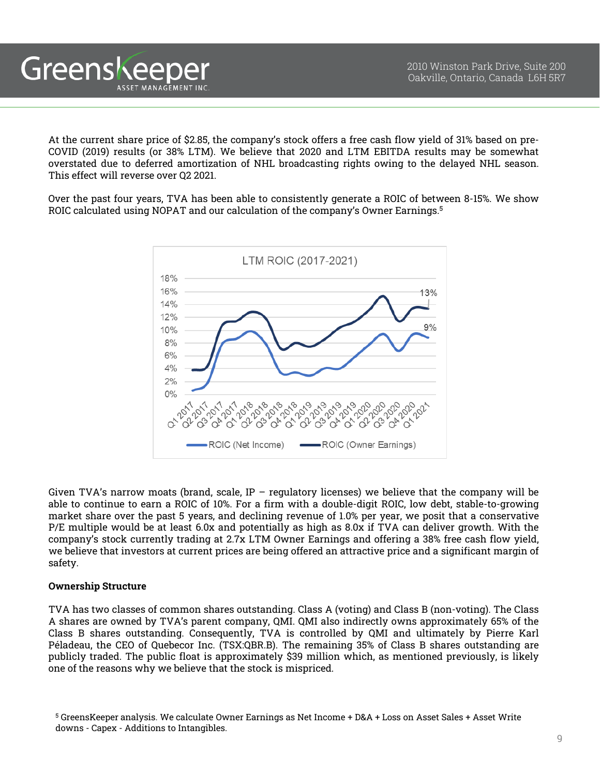At the current share price of \$2.85, the company's stock offers a free cash flow yield of 31% based on pre-COVID (2019) results (or 38% LTM). We believe that 2020 and LTM EBITDA results may be somewhat overstated due to deferred amortization of NHL broadcasting rights owing to the delayed NHL season. This effect will reverse over Q2 2021.

Over the past four years, TVA has been able to consistently generate a ROIC of between 8-15%. We show ROIC calculated using NOPAT and our calculation of the company's Owner Earnings. 5



Given TVA's narrow moats (brand, scale, IP – regulatory licenses) we believe that the company will be able to continue to earn a ROIC of 10%. For a firm with a double-digit ROIC, low debt, stable-to-growing market share over the past 5 years, and declining revenue of 1.0% per year, we posit that a conservative P/E multiple would be at least 6.0x and potentially as high as 8.0x if TVA can deliver growth. With the company's stock currently trading at 2.7x LTM Owner Earnings and offering a 38% free cash flow yield, we believe that investors at current prices are being offered an attractive price and a significant margin of safety.

## **Ownership Structure**

Greenskeeper

ASSET MANAGEMENT INC

TVA has two classes of common shares outstanding. Class A (voting) and Class B (non-voting). The Class A shares are owned by TVA's parent company, QMI. QMI also indirectly owns approximately 65% of the Class B shares outstanding. Consequently, TVA is controlled by QMI and ultimately by Pierre Karl Péladeau, the CEO of Quebecor Inc. (TSX:QBR.B). The remaining 35% of Class B shares outstanding are publicly traded. The public float is approximately \$39 million which, as mentioned previously, is likely one of the reasons why we believe that the stock is mispriced.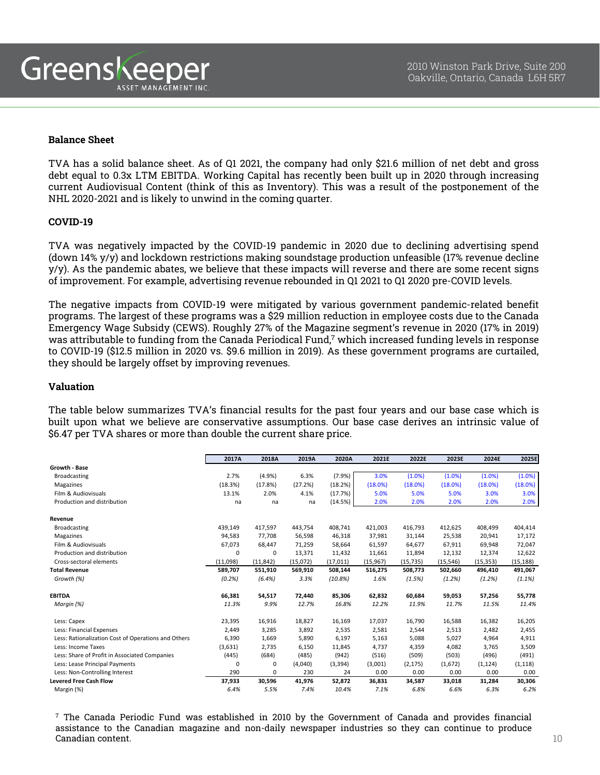## **Balance Sheet**

TVA has a solid balance sheet. As of Q1 2021, the company had only \$21.6 million of net debt and gross debt equal to 0.3x LTM EBITDA. Working Capital has recently been built up in 2020 through increasing current Audiovisual Content (think of this as Inventory). This was a result of the postponement of the NHL 2020-2021 and is likely to unwind in the coming quarter.

#### **COVID-19**

TVA was negatively impacted by the COVID-19 pandemic in 2020 due to declining advertising spend (down 14% y/y) and lockdown restrictions making soundstage production unfeasible (17% revenue decline y/y). As the pandemic abates, we believe that these impacts will reverse and there are some recent signs of improvement. For example, advertising revenue rebounded in Q1 2021 to Q1 2020 pre-COVID levels.

The negative impacts from COVID-19 were mitigated by various government pandemic-related benefit programs. The largest of these programs was a \$29 million reduction in employee costs due to the Canada Emergency Wage Subsidy (CEWS). Roughly 27% of the Magazine segment's revenue in 2020 (17% in 2019) was attributable to funding from the Canada Periodical Fund,<sup>7</sup> which increased funding levels in response to COVID-19 (\$12.5 million in 2020 vs. \$9.6 million in 2019). As these government programs are curtailed, they should be largely offset by improving revenues.

## **Valuation**

The table below summarizes TVA's financial results for the past four years and our base case which is built upon what we believe are conservative assumptions. Our base case derives an intrinsic value of \$6.47 per TVA shares or more than double the current share price.

|                                                     | 2017A       | 2018A     | 2019A    | 2020A     | 2021E     | 2022E     | 2023E     | 2024E     | 2025E     |
|-----------------------------------------------------|-------------|-----------|----------|-----------|-----------|-----------|-----------|-----------|-----------|
| Growth - Base                                       |             |           |          |           |           |           |           |           |           |
| <b>Broadcasting</b>                                 | 2.7%        | (4.9%)    | 6.3%     | (7.9%)    | 3.0%      | (1.0%)    | (1.0%     | (1.0%)    | (1.0%     |
| Magazines                                           | (18.3%)     | (17.8%)   | (27.2%)  | (18.2%)   | (18.0%)   | (18.0%)   | (18.0%)   | (18.0%)   | (18.0%)   |
| Film & Audiovisuals                                 | 13.1%       | 2.0%      | 4.1%     | (17.7%)   | 5.0%      | 5.0%      | 5.0%      | 3.0%      | 3.0%      |
| Production and distribution                         | na          | na        | na       | (14.5%)   | 2.0%      | 2.0%      | 2.0%      | 2.0%      | 2.0%      |
| Revenue                                             |             |           |          |           |           |           |           |           |           |
| <b>Broadcasting</b>                                 | 439,149     | 417,597   | 443,754  | 408,741   | 421,003   | 416,793   | 412,625   | 408,499   | 404,414   |
| Magazines                                           | 94,583      | 77.708    | 56,598   | 46,318    | 37.981    | 31,144    | 25,538    | 20,941    | 17,172    |
| Film & Audiovisuals                                 | 67,073      | 68,447    | 71,259   | 58,664    | 61,597    | 64,677    | 67,911    | 69,948    | 72,047    |
| Production and distribution                         | $\mathbf 0$ | 0         | 13,371   | 11,432    | 11.661    | 11,894    | 12,132    | 12,374    | 12,622    |
| Cross-sectoral elements                             | (11,098)    | (11, 842) | (15,072) | (17, 011) | (15, 967) | (15, 735) | (15, 546) | (15, 353) | (15, 188) |
| <b>Total Revenue</b>                                | 589,707     | 551,910   | 569,910  | 508,144   | 516,275   | 508,773   | 502,660   | 496,410   | 491,067   |
| Growth (%)                                          | (0.2%)      | $(6.4\%)$ | 3.3%     | (10.8%)   | 1.6%      | (1.5%)    | (1.2%)    | (1.2%)    | (1.1%)    |
| <b>EBITDA</b>                                       | 66,381      | 54,517    | 72,440   | 85,306    | 62,832    | 60,684    | 59,053    | 57,256    | 55,778    |
| Margin (%)                                          | 11.3%       | 9.9%      | 12.7%    | 16.8%     | 12.2%     | 11.9%     | 11.7%     | 11.5%     | 11.4%     |
| Less: Capex                                         | 23,395      | 16,916    | 18,827   | 16,169    | 17,037    | 16,790    | 16,588    | 16,382    | 16,205    |
| Less: Financial Expenses                            | 2,449       | 3,285     | 3,892    | 2,535     | 2,581     | 2,544     | 2,513     | 2,482     | 2,455     |
| Less: Rationalization Cost of Operations and Others | 6,390       | 1,669     | 5,890    | 6,197     | 5,163     | 5,088     | 5,027     | 4,964     | 4,911     |
| Less: Income Taxes                                  | (3,631)     | 2,735     | 6,150    | 11,845    | 4,737     | 4,359     | 4,082     | 3,765     | 3,509     |
| Less: Share of Profit in Associated Companies       | (445)       | (684)     | (485)    | (942)     | (516)     | (509)     | (503)     | (496)     | (491)     |
| Less: Lease Principal Payments                      | $\Omega$    | 0         | (4,040)  | (3, 394)  | (3,001)   | (2, 175)  | (1,672)   | (1, 124)  | (1, 118)  |
| Less: Non-Controlling Interest                      | 290         | 0         | 230      | 24        | 0.00      | 0.00      | 0.00      | 0.00      | 0.00      |
| <b>Levered Free Cash Flow</b>                       | 37,933      | 30,596    | 41,976   | 52,872    | 36,831    | 34,587    | 33,018    | 31,284    | 30,306    |
| Margin (%)                                          | 6.4%        | 5.5%      | 7.4%     | 10.4%     | 7.1%      | 6.8%      | 6.6%      | 6.3%      | 6.2%      |

 $7$  The Canada Periodic Fund was established in 2010 by the Government of Canada and provides financial assistance to the Canadian magazine and non-daily newspaper industries so they can continue to produce Canadian content.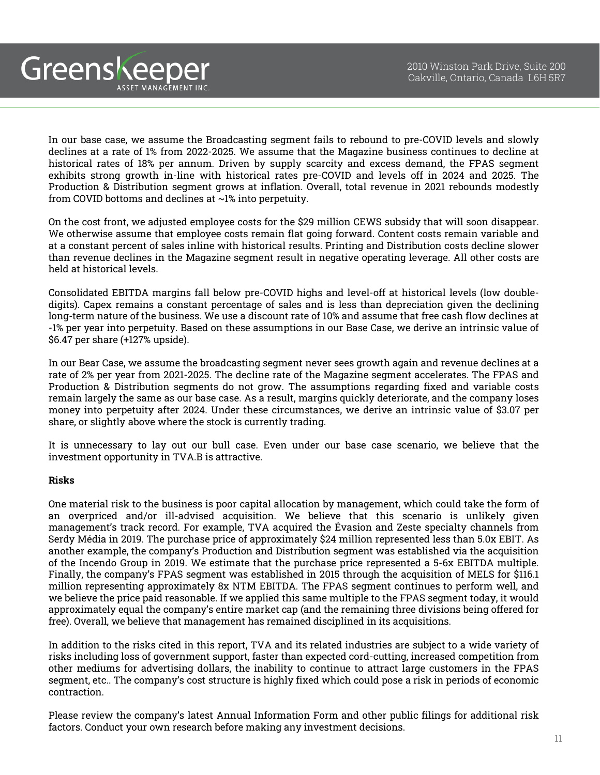In our base case, we assume the Broadcasting segment fails to rebound to pre-COVID levels and slowly declines at a rate of 1% from 2022-2025. We assume that the Magazine business continues to decline at historical rates of 18% per annum. Driven by supply scarcity and excess demand, the FPAS segment exhibits strong growth in-line with historical rates pre-COVID and levels off in 2024 and 2025. The Production & Distribution segment grows at inflation. Overall, total revenue in 2021 rebounds modestly from COVID bottoms and declines at ~1% into perpetuity.

On the cost front, we adjusted employee costs for the \$29 million CEWS subsidy that will soon disappear. We otherwise assume that employee costs remain flat going forward. Content costs remain variable and at a constant percent of sales inline with historical results. Printing and Distribution costs decline slower than revenue declines in the Magazine segment result in negative operating leverage. All other costs are held at historical levels.

Consolidated EBITDA margins fall below pre-COVID highs and level-off at historical levels (low doubledigits). Capex remains a constant percentage of sales and is less than depreciation given the declining long-term nature of the business. We use a discount rate of 10% and assume that free cash flow declines at -1% per year into perpetuity. Based on these assumptions in our Base Case, we derive an intrinsic value of \$6.47 per share (+127% upside).

In our Bear Case, we assume the broadcasting segment never sees growth again and revenue declines at a rate of 2% per year from 2021-2025. The decline rate of the Magazine segment accelerates. The FPAS and Production & Distribution segments do not grow. The assumptions regarding fixed and variable costs remain largely the same as our base case. As a result, margins quickly deteriorate, and the company loses money into perpetuity after 2024. Under these circumstances, we derive an intrinsic value of \$3.07 per share, or slightly above where the stock is currently trading.

It is unnecessary to lay out our bull case. Even under our base case scenario, we believe that the investment opportunity in TVA.B is attractive.

## **Risks**

Greenskeeper

ASSET MANAGEMENT INC

One material risk to the business is poor capital allocation by management, which could take the form of an overpriced and/or ill-advised acquisition. We believe that this scenario is unlikely given management's track record. For example, TVA acquired the Évasion and Zeste specialty channels from Serdy Média in 2019. The purchase price of approximately \$24 million represented less than 5.0x EBIT. As another example, the company's Production and Distribution segment was established via the acquisition of the Incendo Group in 2019. We estimate that the purchase price represented a 5-6x EBITDA multiple. Finally, the company's FPAS segment was established in 2015 through the acquisition of MELS for \$116.1 million representing approximately 8x NTM EBITDA. The FPAS segment continues to perform well, and we believe the price paid reasonable. If we applied this same multiple to the FPAS segment today, it would approximately equal the company's entire market cap (and the remaining three divisions being offered for free). Overall, we believe that management has remained disciplined in its acquisitions.

In addition to the risks cited in this report, TVA and its related industries are subject to a wide variety of risks including loss of government support, faster than expected cord-cutting, increased competition from other mediums for advertising dollars, the inability to continue to attract large customers in the FPAS segment, etc.. The company's cost structure is highly fixed which could pose a risk in periods of economic contraction.

Please review the company's latest Annual Information Form and other public filings for additional risk factors. Conduct your own research before making any investment decisions.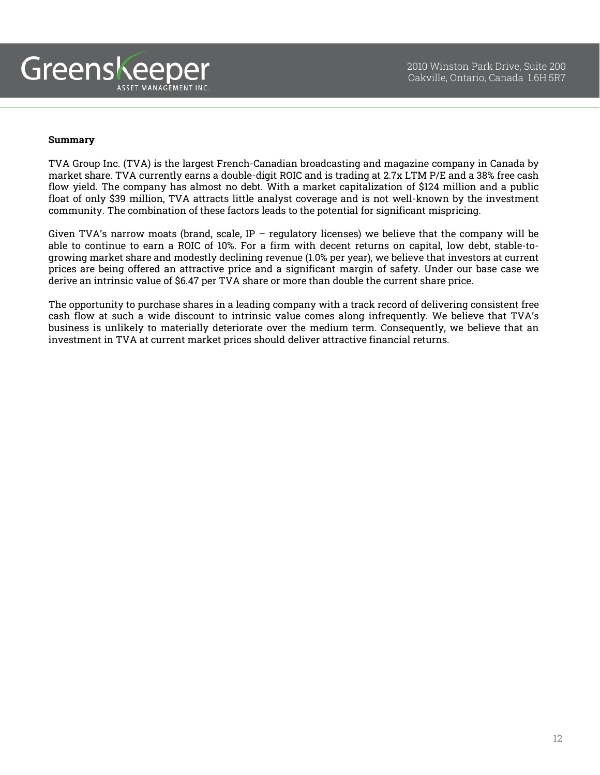

## **Summary**

TVA Group Inc. (TVA) is the largest French-Canadian broadcasting and magazine company in Canada by market share. TVA currently earns a double-digit ROIC and is trading at 2.7x LTM P/E and a 38% free cash flow yield. The company has almost no debt. With a market capitalization of \$124 million and a public float of only \$39 million, TVA attracts little analyst coverage and is not well-known by the investment community. The combination of these factors leads to the potential for significant mispricing.

Given TVA's narrow moats (brand, scale, IP – regulatory licenses) we believe that the company will be able to continue to earn a ROIC of 10%. For a firm with decent returns on capital, low debt, stable-togrowing market share and modestly declining revenue (1.0% per year), we believe that investors at current prices are being offered an attractive price and a significant margin of safety. Under our base case we derive an intrinsic value of \$6.47 per TVA share or more than double the current share price.

The opportunity to purchase shares in a leading company with a track record of delivering consistent free cash flow at such a wide discount to intrinsic value comes along infrequently. We believe that TVA's business is unlikely to materially deteriorate over the medium term. Consequently, we believe that an investment in TVA at current market prices should deliver attractive financial returns.